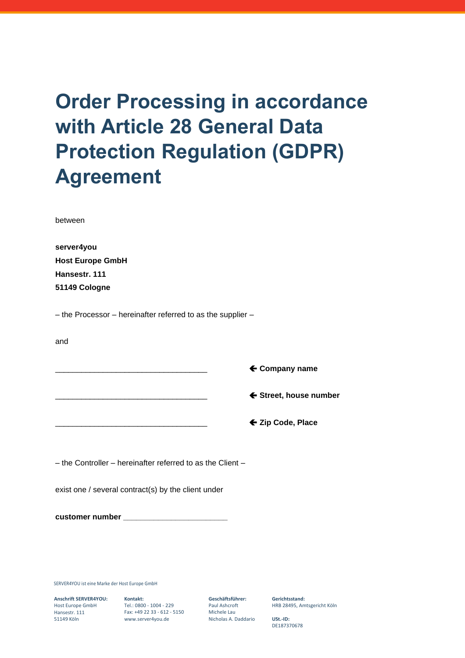# **Order Processing in accordance with Article 28 General Data Protection Regulation (GDPR) Agreement**

between

| server4you              |
|-------------------------|
| <b>Host Europe GmbH</b> |
| Hansestr, 111           |
| 51149 Cologne           |

– the Processor – hereinafter referred to as the supplier –

and

|  | $\leftarrow$ Company name |
|--|---------------------------|
|  | ← Street, house number    |
|  | ← Zip Code, Place         |

– the Controller – hereinafter referred to as the Client –

exist one / several contract(s) by the client under

**customer number \_\_\_\_\_\_\_\_\_\_\_\_\_\_\_\_\_\_\_\_\_\_\_\_** 

SERVER4YOU ist eine Marke der Host Europe GmbH

**Anschrift SERVER4YOU:** Host Europe GmbH Hansestr. 111 51149 Köln

**Kontakt:** Tel.: 0800 - 1004 - 229 Fax: +49 22 33 - 612 - 5150 www.server4you.de

**Geschäftsführer:** Paul Ashcroft Michele Lau Nicholas A. Daddario **Gerichtsstand:** HRB 28495, Amtsgericht Köln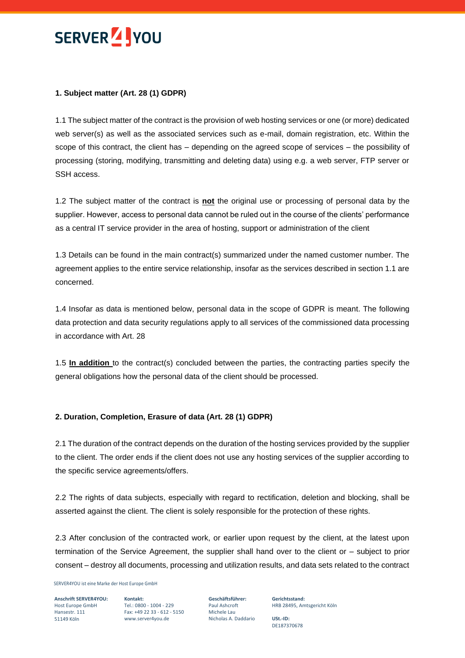

#### **1. Subject matter (Art. 28 (1) GDPR)**

1.1 The subject matter of the contract is the provision of web hosting services or one (or more) dedicated web server(s) as well as the associated services such as e-mail, domain registration, etc. Within the scope of this contract, the client has – depending on the agreed scope of services – the possibility of processing (storing, modifying, transmitting and deleting data) using e.g. a web server, FTP server or SSH access.

1.2 The subject matter of the contract is **not** the original use or processing of personal data by the supplier. However, access to personal data cannot be ruled out in the course of the clients' performance as a central IT service provider in the area of hosting, support or administration of the client

1.3 Details can be found in the main contract(s) summarized under the named customer number. The agreement applies to the entire service relationship, insofar as the services described in section 1.1 are concerned.

1.4 Insofar as data is mentioned below, personal data in the scope of GDPR is meant. The following data protection and data security regulations apply to all services of the commissioned data processing in accordance with Art. 28

1.5 **In addition** to the contract(s) concluded between the parties, the contracting parties specify the general obligations how the personal data of the client should be processed.

#### **2. Duration, Completion, Erasure of data (Art. 28 (1) GDPR)**

2.1 The duration of the contract depends on the duration of the hosting services provided by the supplier to the client. The order ends if the client does not use any hosting services of the supplier according to the specific service agreements/offers.

2.2 The rights of data subjects, especially with regard to rectification, deletion and blocking, shall be asserted against the client. The client is solely responsible for the protection of these rights.

2.3 After conclusion of the contracted work, or earlier upon request by the client, at the latest upon termination of the Service Agreement, the supplier shall hand over to the client or – subject to prior consent – destroy all documents, processing and utilization results, and data sets related to the contract

SERVER4YOU ist eine Marke der Host Europe GmbH

**Anschrift SERVER4YOU:** Host Europe GmbH Hansestr. 111 51149 Köln

**Kontakt:** Tel.: 0800 - 1004 - 229 Fax: +49 22 33 - 612 - 5150 www.server4you.de

**Geschäftsführer:** Paul Ashcroft Michele Lau Nicholas A. Daddario

**Gerichtsstand:** HRB 28495, Amtsgericht Köln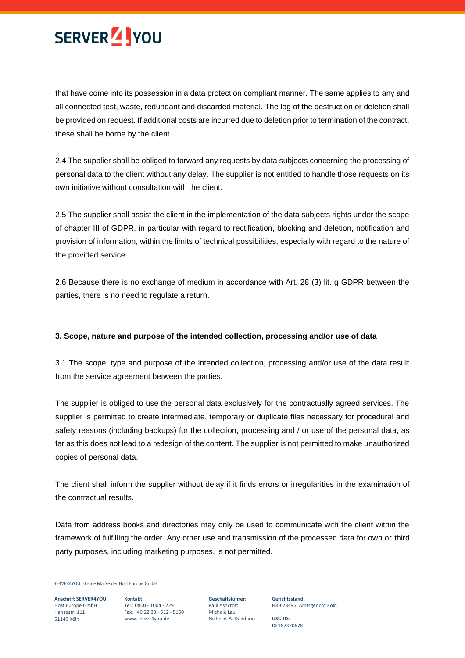

that have come into its possession in a data protection compliant manner. The same applies to any and all connected test, waste, redundant and discarded material. The log of the destruction or deletion shall be provided on request. If additional costs are incurred due to deletion prior to termination of the contract, these shall be borne by the client.

2.4 The supplier shall be obliged to forward any requests by data subjects concerning the processing of personal data to the client without any delay. The supplier is not entitled to handle those requests on its own initiative without consultation with the client.

2.5 The supplier shall assist the client in the implementation of the data subjects rights under the scope of chapter III of GDPR, in particular with regard to rectification, blocking and deletion, notification and provision of information, within the limits of technical possibilities, especially with regard to the nature of the provided service.

2.6 Because there is no exchange of medium in accordance with Art. 28 (3) lit. g GDPR between the parties, there is no need to regulate a return.

#### **3. Scope, nature and purpose of the intended collection, processing and/or use of data**

3.1 The scope, type and purpose of the intended collection, processing and/or use of the data result from the service agreement between the parties.

The supplier is obliged to use the personal data exclusively for the contractually agreed services. The supplier is permitted to create intermediate, temporary or duplicate files necessary for procedural and safety reasons (including backups) for the collection, processing and / or use of the personal data, as far as this does not lead to a redesign of the content. The supplier is not permitted to make unauthorized copies of personal data.

The client shall inform the supplier without delay if it finds errors or irregularities in the examination of the contractual results.

Data from address books and directories may only be used to communicate with the client within the framework of fulfilling the order. Any other use and transmission of the processed data for own or third party purposes, including marketing purposes, is not permitted.

SERVER4YOU ist eine Marke der Host Europe GmbH

**Anschrift SERVER4YOU:** Host Europe GmbH Hansestr. 111 51149 Köln

**Kontakt:** Tel.: 0800 - 1004 - 229 Fax: +49 22 33 - 612 - 5150 www.server4you.de

**Geschäftsführer:** Paul Ashcroft Michele Lau Nicholas A. Daddario

**Gerichtsstand:** HRB 28495, Amtsgericht Köln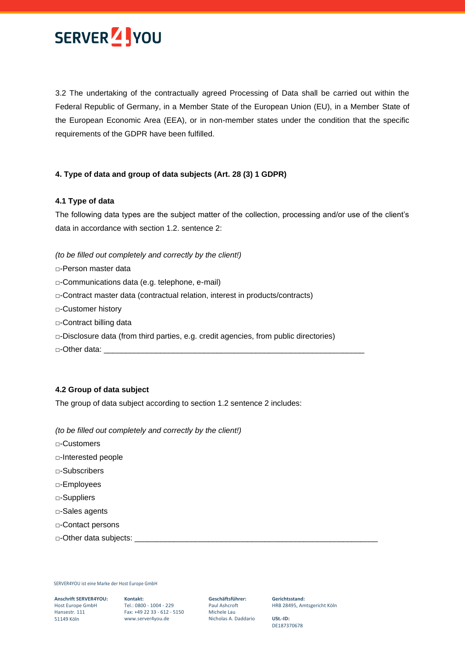

3.2 The undertaking of the contractually agreed Processing of Data shall be carried out within the Federal Republic of Germany, in a Member State of the European Union (EU), in a Member State of the European Economic Area (EEA), or in non-member states under the condition that the specific requirements of the GDPR have been fulfilled.

#### **4. Type of data and group of data subjects (Art. 28 (3) 1 GDPR)**

#### **4.1 Type of data**

The following data types are the subject matter of the collection, processing and/or use of the client's data in accordance with section 1.2. sentence 2:

*(to be filled out completely and correctly by the client!)*

- □-Person master data
- □-Communications data (e.g. telephone, e-mail)
- □-Contract master data (contractual relation, interest in products/contracts)
- □-Customer history
- □-Contract billing data
- □-Disclosure data (from third parties, e.g. credit agencies, from public directories)
- □-Other data:

#### **4.2 Group of data subject**

The group of data subject according to section 1.2 sentence 2 includes:

*(to be filled out completely and correctly by the client!)*

- □-Customers
- □-Interested people
- □-Subscribers
- □-Employees
- □-Suppliers
- □-Sales agents
- □-Contact persons
- □-Other data subjects: \_\_

SERVER4YOU ist eine Marke der Host Europe GmbH

**Anschrift SERVER4YOU: Kontakt:** Host Europe GmbH Hansestr. 111 Hansestr. 111<br>51149 Köln

Tel.: 0800 - 1004 - 229 Fax: +49 22 33 - 612 - 5150 www.server4you.de

**Geschäftsführer:** Paul Ashcroft Michele Lau Nicholas A. Daddario **Gerichtsstand:** HRB 28495, Amtsgericht Köln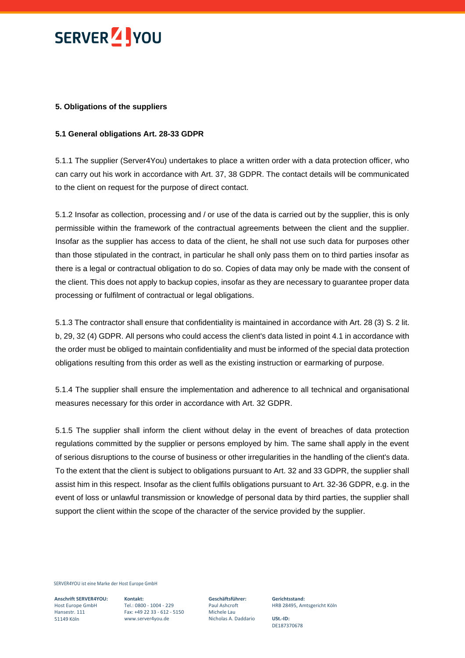

#### **5. Obligations of the suppliers**

#### **5.1 General obligations Art. 28-33 GDPR**

5.1.1 The supplier (Server4You) undertakes to place a written order with a data protection officer, who can carry out his work in accordance with Art. 37, 38 GDPR. The contact details will be communicated to the client on request for the purpose of direct contact.

5.1.2 Insofar as collection, processing and / or use of the data is carried out by the supplier, this is only permissible within the framework of the contractual agreements between the client and the supplier. Insofar as the supplier has access to data of the client, he shall not use such data for purposes other than those stipulated in the contract, in particular he shall only pass them on to third parties insofar as there is a legal or contractual obligation to do so. Copies of data may only be made with the consent of the client. This does not apply to backup copies, insofar as they are necessary to guarantee proper data processing or fulfilment of contractual or legal obligations.

5.1.3 The contractor shall ensure that confidentiality is maintained in accordance with Art. 28 (3) S. 2 lit. b, 29, 32 (4) GDPR. All persons who could access the client's data listed in point 4.1 in accordance with the order must be obliged to maintain confidentiality and must be informed of the special data protection obligations resulting from this order as well as the existing instruction or earmarking of purpose.

5.1.4 The supplier shall ensure the implementation and adherence to all technical and organisational measures necessary for this order in accordance with Art. 32 GDPR.

5.1.5 The supplier shall inform the client without delay in the event of breaches of data protection regulations committed by the supplier or persons employed by him. The same shall apply in the event of serious disruptions to the course of business or other irregularities in the handling of the client's data. To the extent that the client is subject to obligations pursuant to Art. 32 and 33 GDPR, the supplier shall assist him in this respect. Insofar as the client fulfils obligations pursuant to Art. 32-36 GDPR, e.g. in the event of loss or unlawful transmission or knowledge of personal data by third parties, the supplier shall support the client within the scope of the character of the service provided by the supplier.

SERVER4YOU ist eine Marke der Host Europe GmbH

**Anschrift SERVER4YOU:** Host Europe GmbH Hansestr. 111 51149 Köln

**Kontakt:** Tel.: 0800 - 1004 - 229 Fax: +49 22 33 - 612 - 5150 www.server4you.de

**Geschäftsführer:** Paul Ashcroft Michele Lau Nicholas A. Daddario

**Gerichtsstand:** HRB 28495, Amtsgericht Köln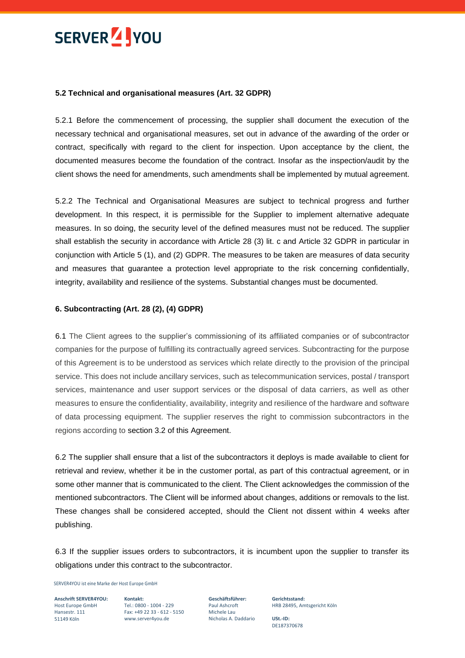## SERVER<sup>7</sup> YOU

#### **5.2 Technical and organisational measures (Art. 32 GDPR)**

5.2.1 Before the commencement of processing, the supplier shall document the execution of the necessary technical and organisational measures, set out in advance of the awarding of the order or contract, specifically with regard to the client for inspection. Upon acceptance by the client, the documented measures become the foundation of the contract. Insofar as the inspection/audit by the client shows the need for amendments, such amendments shall be implemented by mutual agreement.

5.2.2 The Technical and Organisational Measures are subject to technical progress and further development. In this respect, it is permissible for the Supplier to implement alternative adequate measures. In so doing, the security level of the defined measures must not be reduced. The supplier shall establish the security in accordance with Article 28 (3) lit. c and Article 32 GDPR in particular in conjunction with Article 5 (1), and (2) GDPR. The measures to be taken are measures of data security and measures that guarantee a protection level appropriate to the risk concerning confidentially, integrity, availability and resilience of the systems. Substantial changes must be documented.

#### **6. Subcontracting (Art. 28 (2), (4) GDPR)**

6.1 The Client agrees to the supplier's commissioning of its affiliated companies or of subcontractor companies for the purpose of fulfilling its contractually agreed services. Subcontracting for the purpose of this Agreement is to be understood as services which relate directly to the provision of the principal service. This does not include ancillary services, such as telecommunication services, postal / transport services, maintenance and user support services or the disposal of data carriers, as well as other measures to ensure the confidentiality, availability, integrity and resilience of the hardware and software of data processing equipment. The supplier reserves the right to commission subcontractors in the regions according to section 3.2 of this Agreement.

6.2 The supplier shall ensure that a list of the subcontractors it deploys is made available to client for retrieval and review, whether it be in the customer portal, as part of this contractual agreement, or in some other manner that is communicated to the client. The Client acknowledges the commission of the mentioned subcontractors. The Client will be informed about changes, additions or removals to the list. These changes shall be considered accepted, should the Client not dissent within 4 weeks after publishing.

6.3 If the supplier issues orders to subcontractors, it is incumbent upon the supplier to transfer its obligations under this contract to the subcontractor.

SERVER4YOU ist eine Marke der Host Europe GmbH

**Anschrift SERVER4YOU: Kontakt:** Host Europe GmbH Hansestr. 111 51149 Köln

Tel.: 0800 - 1004 - 229 Fax: +49 22 33 - 612 - 5150 www.server4you.de

**Geschäftsführer:** Paul Ashcroft Michele Lau Nicholas A. Daddario

**Gerichtsstand:** HRB 28495, Amtsgericht Köln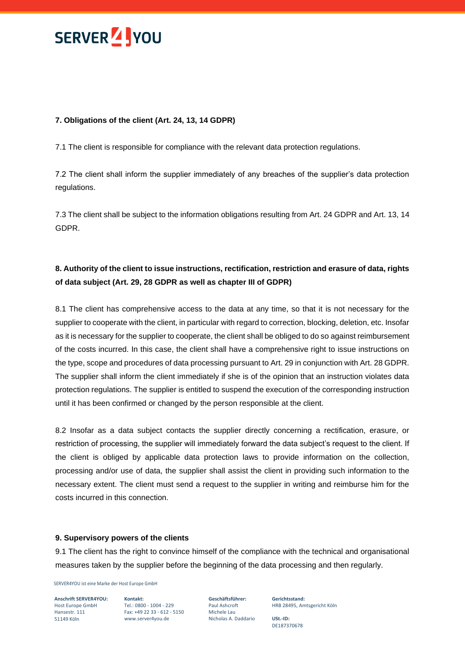

#### **7. Obligations of the client (Art. 24, 13, 14 GDPR)**

7.1 The client is responsible for compliance with the relevant data protection regulations.

7.2 The client shall inform the supplier immediately of any breaches of the supplier's data protection regulations.

7.3 The client shall be subject to the information obligations resulting from Art. 24 GDPR and Art. 13, 14 GDPR.

### **8. Authority of the client to issue instructions, rectification, restriction and erasure of data, rights of data subject (Art. 29, 28 GDPR as well as chapter III of GDPR)**

8.1 The client has comprehensive access to the data at any time, so that it is not necessary for the supplier to cooperate with the client, in particular with regard to correction, blocking, deletion, etc. Insofar as it is necessary for the supplier to cooperate, the client shall be obliged to do so against reimbursement of the costs incurred. In this case, the client shall have a comprehensive right to issue instructions on the type, scope and procedures of data processing pursuant to Art. 29 in conjunction with Art. 28 GDPR. The supplier shall inform the client immediately if she is of the opinion that an instruction violates data protection regulations. The supplier is entitled to suspend the execution of the corresponding instruction until it has been confirmed or changed by the person responsible at the client.

8.2 Insofar as a data subject contacts the supplier directly concerning a rectification, erasure, or restriction of processing, the supplier will immediately forward the data subject's request to the client. If the client is obliged by applicable data protection laws to provide information on the collection, processing and/or use of data, the supplier shall assist the client in providing such information to the necessary extent. The client must send a request to the supplier in writing and reimburse him for the costs incurred in this connection.

#### **9. Supervisory powers of the clients**

9.1 The client has the right to convince himself of the compliance with the technical and organisational measures taken by the supplier before the beginning of the data processing and then regularly.

SERVER4YOU ist eine Marke der Host Europe GmbH

**Anschrift SERVER4YOU: Kontakt:** Host Europe GmbH Hansestr. 111 51149 Köln

Tel.: 0800 - 1004 - 229 Fax: +49 22 33 - 612 - 5150 www.server4you.de

**Geschäftsführer:** Paul Ashcroft Michele Lau Nicholas A. Daddario

**Gerichtsstand:** HRB 28495, Amtsgericht Köln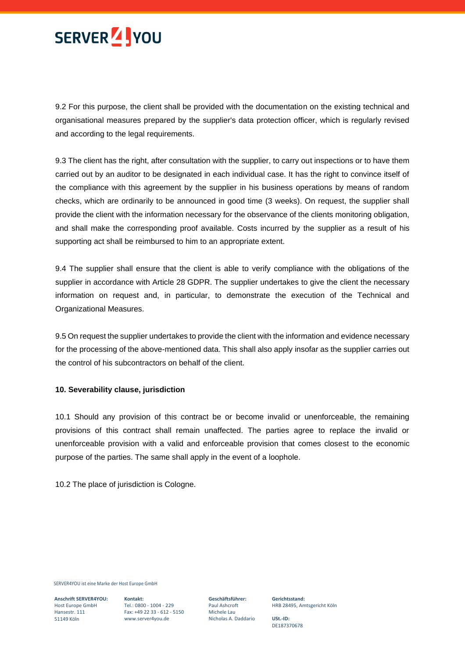

9.2 For this purpose, the client shall be provided with the documentation on the existing technical and organisational measures prepared by the supplier's data protection officer, which is regularly revised and according to the legal requirements.

9.3 The client has the right, after consultation with the supplier, to carry out inspections or to have them carried out by an auditor to be designated in each individual case. It has the right to convince itself of the compliance with this agreement by the supplier in his business operations by means of random checks, which are ordinarily to be announced in good time (3 weeks). On request, the supplier shall provide the client with the information necessary for the observance of the clients monitoring obligation, and shall make the corresponding proof available. Costs incurred by the supplier as a result of his supporting act shall be reimbursed to him to an appropriate extent.

9.4 The supplier shall ensure that the client is able to verify compliance with the obligations of the supplier in accordance with Article 28 GDPR. The supplier undertakes to give the client the necessary information on request and, in particular, to demonstrate the execution of the Technical and Organizational Measures.

9.5 On request the supplier undertakes to provide the client with the information and evidence necessary for the processing of the above-mentioned data. This shall also apply insofar as the supplier carries out the control of his subcontractors on behalf of the client.

#### **10. Severability clause, jurisdiction**

10.1 Should any provision of this contract be or become invalid or unenforceable, the remaining provisions of this contract shall remain unaffected. The parties agree to replace the invalid or unenforceable provision with a valid and enforceable provision that comes closest to the economic purpose of the parties. The same shall apply in the event of a loophole.

10.2 The place of jurisdiction is Cologne.

SERVER4YOU ist eine Marke der Host Europe GmbH

**Anschrift SERVER4YOU:** Host Europe GmbH Hansestr. 111 51149 Köln

**Kontakt:** Tel.: 0800 - 1004 - 229 Fax: +49 22 33 - 612 - 5150 www.server4you.de

**Geschäftsführer:** Paul Ashcroft Michele Lau Nicholas A. Daddario

**Gerichtsstand:** HRB 28495, Amtsgericht Köln